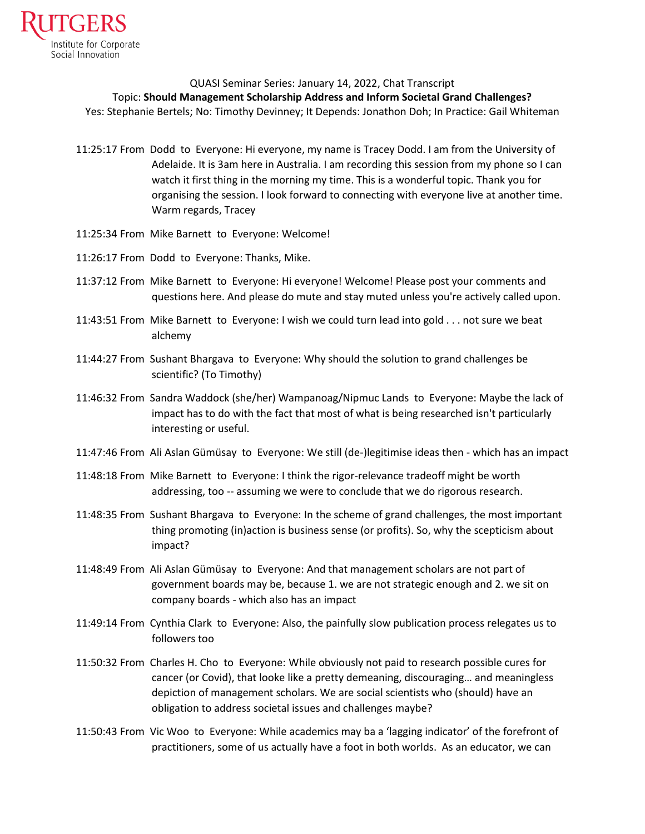

## QUASI Seminar Series: January 14, 2022, Chat Transcript

## Topic: **Should Management Scholarship Address and Inform Societal Grand Challenges?**

Yes: Stephanie Bertels; No: Timothy Devinney; It Depends: Jonathon Doh; In Practice: Gail Whiteman

- 11:25:17 From Dodd to Everyone: Hi everyone, my name is Tracey Dodd. I am from the University of Adelaide. It is 3am here in Australia. I am recording this session from my phone so I can watch it first thing in the morning my time. This is a wonderful topic. Thank you for organising the session. I look forward to connecting with everyone live at another time. Warm regards, Tracey
- 11:25:34 From Mike Barnett to Everyone: Welcome!
- 11:26:17 From Dodd to Everyone: Thanks, Mike.
- 11:37:12 From Mike Barnett to Everyone: Hi everyone! Welcome! Please post your comments and questions here. And please do mute and stay muted unless you're actively called upon.
- 11:43:51 From Mike Barnett to Everyone: I wish we could turn lead into gold . . . not sure we beat alchemy
- 11:44:27 From Sushant Bhargava to Everyone: Why should the solution to grand challenges be scientific? (To Timothy)
- 11:46:32 From Sandra Waddock (she/her) Wampanoag/Nipmuc Lands to Everyone: Maybe the lack of impact has to do with the fact that most of what is being researched isn't particularly interesting or useful.
- 11:47:46 From Ali Aslan Gümüsay to Everyone: We still (de-)legitimise ideas then which has an impact
- 11:48:18 From Mike Barnett to Everyone: I think the rigor-relevance tradeoff might be worth addressing, too -- assuming we were to conclude that we do rigorous research.
- 11:48:35 From Sushant Bhargava to Everyone: In the scheme of grand challenges, the most important thing promoting (in)action is business sense (or profits). So, why the scepticism about impact?
- 11:48:49 From Ali Aslan Gümüsay to Everyone: And that management scholars are not part of government boards may be, because 1. we are not strategic enough and 2. we sit on company boards - which also has an impact
- 11:49:14 From Cynthia Clark to Everyone: Also, the painfully slow publication process relegates us to followers too
- 11:50:32 From Charles H. Cho to Everyone: While obviously not paid to research possible cures for cancer (or Covid), that looke like a pretty demeaning, discouraging… and meaningless depiction of management scholars. We are social scientists who (should) have an obligation to address societal issues and challenges maybe?
- 11:50:43 From Vic Woo to Everyone: While academics may ba a 'lagging indicator' of the forefront of practitioners, some of us actually have a foot in both worlds. As an educator, we can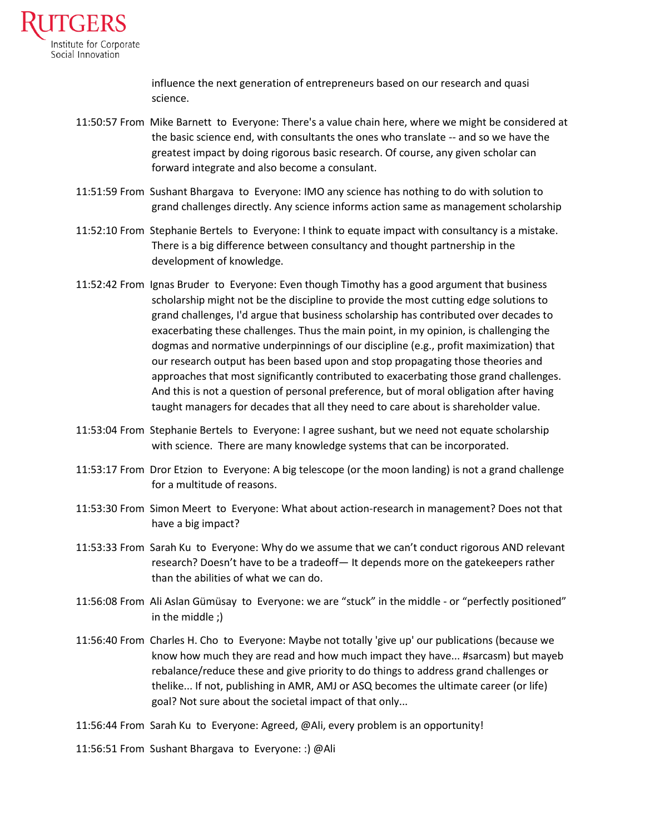

influence the next generation of entrepreneurs based on our research and quasi science.

- 11:50:57 From Mike Barnett to Everyone: There's a value chain here, where we might be considered at the basic science end, with consultants the ones who translate -- and so we have the greatest impact by doing rigorous basic research. Of course, any given scholar can forward integrate and also become a consulant.
- 11:51:59 From Sushant Bhargava to Everyone: IMO any science has nothing to do with solution to grand challenges directly. Any science informs action same as management scholarship
- 11:52:10 From Stephanie Bertels to Everyone: I think to equate impact with consultancy is a mistake. There is a big difference between consultancy and thought partnership in the development of knowledge.
- 11:52:42 From Ignas Bruder to Everyone: Even though Timothy has a good argument that business scholarship might not be the discipline to provide the most cutting edge solutions to grand challenges, I'd argue that business scholarship has contributed over decades to exacerbating these challenges. Thus the main point, in my opinion, is challenging the dogmas and normative underpinnings of our discipline (e.g., profit maximization) that our research output has been based upon and stop propagating those theories and approaches that most significantly contributed to exacerbating those grand challenges. And this is not a question of personal preference, but of moral obligation after having taught managers for decades that all they need to care about is shareholder value.
- 11:53:04 From Stephanie Bertels to Everyone: I agree sushant, but we need not equate scholarship with science. There are many knowledge systems that can be incorporated.
- 11:53:17 From Dror Etzion to Everyone: A big telescope (or the moon landing) is not a grand challenge for a multitude of reasons.
- 11:53:30 From Simon Meert to Everyone: What about action-research in management? Does not that have a big impact?
- 11:53:33 From Sarah Ku to Everyone: Why do we assume that we can't conduct rigorous AND relevant research? Doesn't have to be a tradeoff— It depends more on the gatekeepers rather than the abilities of what we can do.
- 11:56:08 From Ali Aslan Gümüsay to Everyone: we are "stuck" in the middle or "perfectly positioned" in the middle ;)
- 11:56:40 From Charles H. Cho to Everyone: Maybe not totally 'give up' our publications (because we know how much they are read and how much impact they have... #sarcasm) but mayeb rebalance/reduce these and give priority to do things to address grand challenges or thelike... If not, publishing in AMR, AMJ or ASQ becomes the ultimate career (or life) goal? Not sure about the societal impact of that only...
- 11:56:44 From Sarah Ku to Everyone: Agreed, @Ali, every problem is an opportunity!
- 11:56:51 From Sushant Bhargava to Everyone: :) @Ali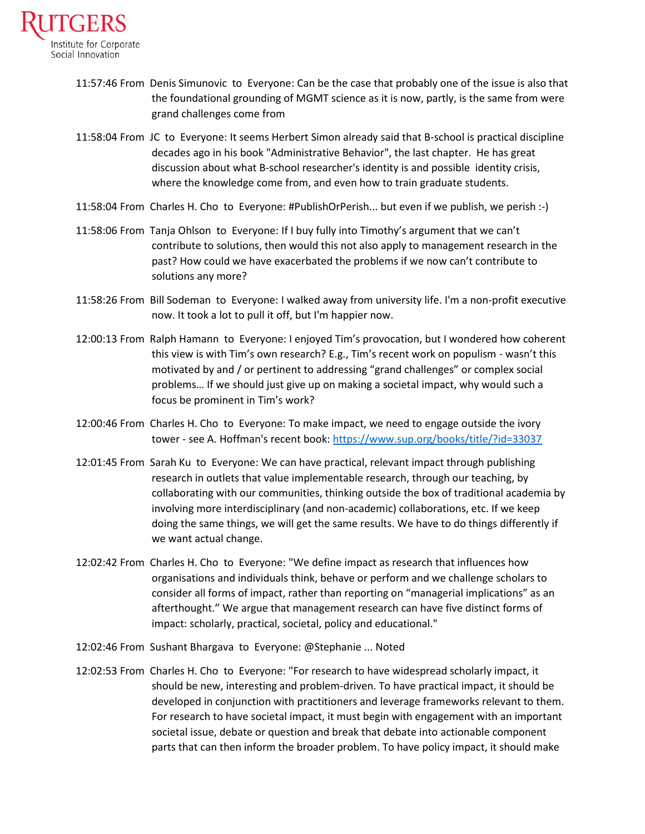

- 11:57:46 From Denis Simunovic to Everyone: Can be the case that probably one of the issue is also that the foundational grounding of MGMT science as it is now, partly, is the same from were grand challenges come from
- 11:58:04 From JC to Everyone: It seems Herbert Simon already said that B-school is practical discipline decades ago in his book "Administrative Behavior", the last chapter. He has great discussion about what B-school researcher's identity is and possible identity crisis, where the knowledge come from, and even how to train graduate students.
- 11:58:04 From Charles H. Cho to Everyone: #PublishOrPerish... but even if we publish, we perish :-)
- 11:58:06 From Tanja Ohlson to Everyone: If I buy fully into Timothy's argument that we can't contribute to solutions, then would this not also apply to management research in the past? How could we have exacerbated the problems if we now can't contribute to solutions any more?
- 11:58:26 From Bill Sodeman to Everyone: I walked away from university life. I'm a non-profit executive now. It took a lot to pull it off, but I'm happier now.
- 12:00:13 From Ralph Hamann to Everyone: I enjoyed Tim's provocation, but I wondered how coherent this view is with Tim's own research? E.g., Tim's recent work on populism - wasn't this motivated by and / or pertinent to addressing "grand challenges" or complex social problems… If we should just give up on making a societal impact, why would such a focus be prominent in Tim's work?
- 12:00:46 From Charles H. Cho to Everyone: To make impact, we need to engage outside the ivory tower - see A. Hoffman's recent book:<https://www.sup.org/books/title/?id=33037>
- 12:01:45 From Sarah Ku to Everyone: We can have practical, relevant impact through publishing research in outlets that value implementable research, through our teaching, by collaborating with our communities, thinking outside the box of traditional academia by involving more interdisciplinary (and non-academic) collaborations, etc. If we keep doing the same things, we will get the same results. We have to do things differently if we want actual change.
- 12:02:42 From Charles H. Cho to Everyone: "We define impact as research that influences how organisations and individuals think, behave or perform and we challenge scholars to consider all forms of impact, rather than reporting on "managerial implications" as an afterthought." We argue that management research can have five distinct forms of impact: scholarly, practical, societal, policy and educational."
- 12:02:46 From Sushant Bhargava to Everyone: @Stephanie ... Noted
- 12:02:53 From Charles H. Cho to Everyone: "For research to have widespread scholarly impact, it should be new, interesting and problem-driven. To have practical impact, it should be developed in conjunction with practitioners and leverage frameworks relevant to them. For research to have societal impact, it must begin with engagement with an important societal issue, debate or question and break that debate into actionable component parts that can then inform the broader problem. To have policy impact, it should make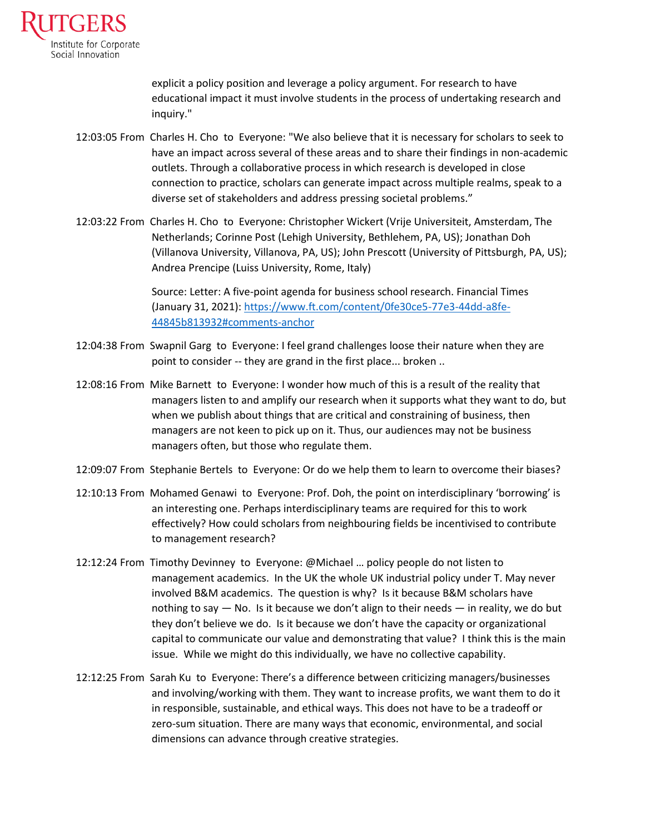

explicit a policy position and leverage a policy argument. For research to have educational impact it must involve students in the process of undertaking research and inquiry."

- 12:03:05 From Charles H. Cho to Everyone: "We also believe that it is necessary for scholars to seek to have an impact across several of these areas and to share their findings in non-academic outlets. Through a collaborative process in which research is developed in close connection to practice, scholars can generate impact across multiple realms, speak to a diverse set of stakeholders and address pressing societal problems."
- 12:03:22 From Charles H. Cho to Everyone: Christopher Wickert (Vrije Universiteit, Amsterdam, The Netherlands; Corinne Post (Lehigh University, Bethlehem, PA, US); Jonathan Doh (Villanova University, Villanova, PA, US); John Prescott (University of Pittsburgh, PA, US); Andrea Prencipe (Luiss University, Rome, Italy)

Source: Letter: A five-point agenda for business school research. Financial Times (January 31, 2021)[: https://www.ft.com/content/0fe30ce5-77e3-44dd-a8fe-](https://www.ft.com/content/0fe30ce5-77e3-44dd-a8fe-44845b813932#comments-anchor)[44845b813932#comments-anchor](https://www.ft.com/content/0fe30ce5-77e3-44dd-a8fe-44845b813932#comments-anchor)

- 12:04:38 From Swapnil Garg to Everyone: I feel grand challenges loose their nature when they are point to consider -- they are grand in the first place... broken ..
- 12:08:16 From Mike Barnett to Everyone: I wonder how much of this is a result of the reality that managers listen to and amplify our research when it supports what they want to do, but when we publish about things that are critical and constraining of business, then managers are not keen to pick up on it. Thus, our audiences may not be business managers often, but those who regulate them.
- 12:09:07 From Stephanie Bertels to Everyone: Or do we help them to learn to overcome their biases?
- 12:10:13 From Mohamed Genawi to Everyone: Prof. Doh, the point on interdisciplinary 'borrowing' is an interesting one. Perhaps interdisciplinary teams are required for this to work effectively? How could scholars from neighbouring fields be incentivised to contribute to management research?
- 12:12:24 From Timothy Devinney to Everyone: @Michael … policy people do not listen to management academics. In the UK the whole UK industrial policy under T. May never involved B&M academics. The question is why? Is it because B&M scholars have nothing to say  $-$  No. Is it because we don't align to their needs  $-$  in reality, we do but they don't believe we do. Is it because we don't have the capacity or organizational capital to communicate our value and demonstrating that value? I think this is the main issue. While we might do this individually, we have no collective capability.
- 12:12:25 From Sarah Ku to Everyone: There's a difference between criticizing managers/businesses and involving/working with them. They want to increase profits, we want them to do it in responsible, sustainable, and ethical ways. This does not have to be a tradeoff or zero-sum situation. There are many ways that economic, environmental, and social dimensions can advance through creative strategies.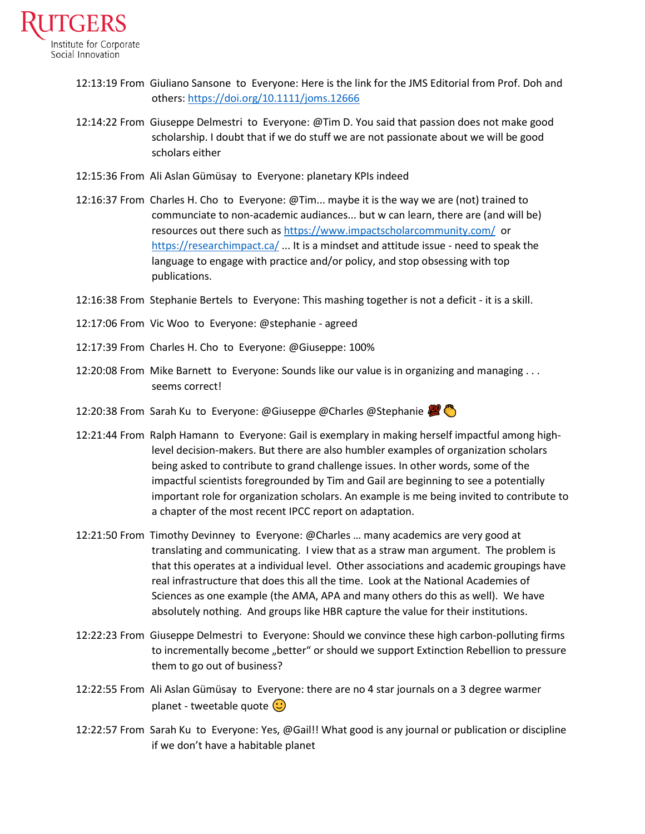

- 12:13:19 From Giuliano Sansone to Everyone: Here is the link for the JMS Editorial from Prof. Doh and others:<https://doi.org/10.1111/joms.12666>
- 12:14:22 From Giuseppe Delmestri to Everyone: @Tim D. You said that passion does not make good scholarship. I doubt that if we do stuff we are not passionate about we will be good scholars either
- 12:15:36 From Ali Aslan Gümüsay to Everyone: planetary KPIs indeed
- 12:16:37 From Charles H. Cho to Everyone: @Tim... maybe it is the way we are (not) trained to communciate to non-academic audiances... but w can learn, there are (and will be) resources out there such a[s https://www.impactscholarcommunity.com/](https://www.impactscholarcommunity.com/) or <https://researchimpact.ca/> ... It is a mindset and attitude issue - need to speak the language to engage with practice and/or policy, and stop obsessing with top publications.
- 12:16:38 From Stephanie Bertels to Everyone: This mashing together is not a deficit it is a skill.
- 12:17:06 From Vic Woo to Everyone: @stephanie agreed
- 12:17:39 From Charles H. Cho to Everyone: @Giuseppe: 100%
- 12:20:08 From Mike Barnett to Everyone: Sounds like our value is in organizing and managing . . . seems correct!
- 12:20:38 From Sarah Ku to Everyone: @Giuseppe @Charles @Stephanie 20
- 12:21:44 From Ralph Hamann to Everyone: Gail is exemplary in making herself impactful among highlevel decision-makers. But there are also humbler examples of organization scholars being asked to contribute to grand challenge issues. In other words, some of the impactful scientists foregrounded by Tim and Gail are beginning to see a potentially important role for organization scholars. An example is me being invited to contribute to a chapter of the most recent IPCC report on adaptation.
- 12:21:50 From Timothy Devinney to Everyone: @Charles … many academics are very good at translating and communicating. I view that as a straw man argument. The problem is that this operates at a individual level. Other associations and academic groupings have real infrastructure that does this all the time. Look at the National Academies of Sciences as one example (the AMA, APA and many others do this as well). We have absolutely nothing. And groups like HBR capture the value for their institutions.
- 12:22:23 From Giuseppe Delmestri to Everyone: Should we convince these high carbon-polluting firms to incrementally become "better" or should we support Extinction Rebellion to pressure them to go out of business?
- 12:22:55 From Ali Aslan Gümüsay to Everyone: there are no 4 star journals on a 3 degree warmer planet - tweetable quote  $\left(\cdot\right)$
- 12:22:57 From Sarah Ku to Everyone: Yes, @Gail!! What good is any journal or publication or discipline if we don't have a habitable planet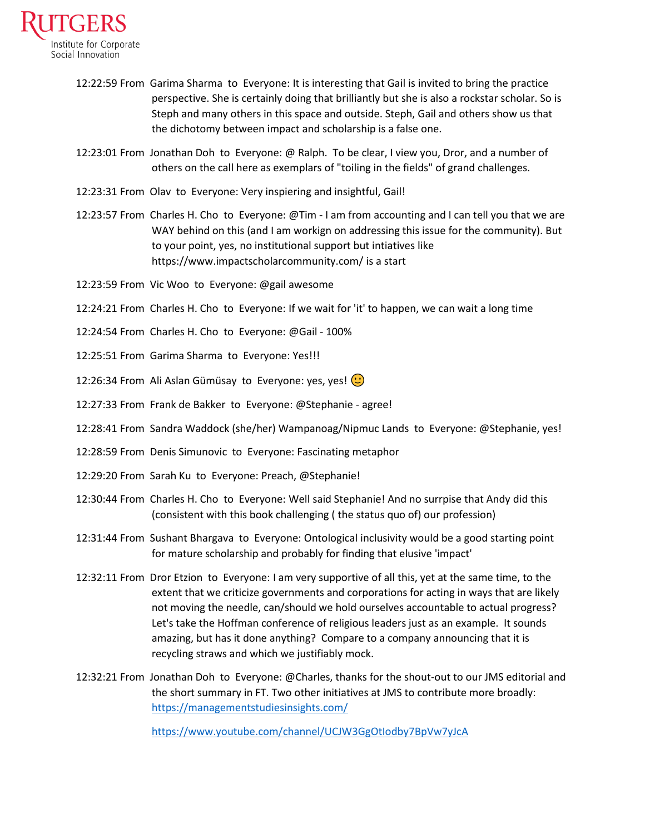

- 12:22:59 From Garima Sharma to Everyone: It is interesting that Gail is invited to bring the practice perspective. She is certainly doing that brilliantly but she is also a rockstar scholar. So is Steph and many others in this space and outside. Steph, Gail and others show us that the dichotomy between impact and scholarship is a false one.
- 12:23:01 From Jonathan Doh to Everyone: @ Ralph. To be clear, I view you, Dror, and a number of others on the call here as exemplars of "toiling in the fields" of grand challenges.
- 12:23:31 From Olav to Everyone: Very inspiering and insightful, Gail!
- 12:23:57 From Charles H. Cho to Everyone: @Tim I am from accounting and I can tell you that we are WAY behind on this (and I am workign on addressing this issue for the community). But to your point, yes, no institutional support but intiatives like https://www.impactscholarcommunity.com/ is a start
- 12:23:59 From Vic Woo to Everyone: @gail awesome
- 12:24:21 From Charles H. Cho to Everyone: If we wait for 'it' to happen, we can wait a long time
- 12:24:54 From Charles H. Cho to Everyone: @Gail 100%
- 12:25:51 From Garima Sharma to Everyone: Yes!!!
- 12:26:34 From Ali Aslan Gümüsay to Everyone: yes, yes!  $\bigcirc$
- 12:27:33 From Frank de Bakker to Everyone: @Stephanie agree!
- 12:28:41 From Sandra Waddock (she/her) Wampanoag/Nipmuc Lands to Everyone: @Stephanie, yes!
- 12:28:59 From Denis Simunovic to Everyone: Fascinating metaphor
- 12:29:20 From Sarah Ku to Everyone: Preach, @Stephanie!
- 12:30:44 From Charles H. Cho to Everyone: Well said Stephanie! And no surrpise that Andy did this (consistent with this book challenging ( the status quo of) our profession)
- 12:31:44 From Sushant Bhargava to Everyone: Ontological inclusivity would be a good starting point for mature scholarship and probably for finding that elusive 'impact'
- 12:32:11 From Dror Etzion to Everyone: I am very supportive of all this, yet at the same time, to the extent that we criticize governments and corporations for acting in ways that are likely not moving the needle, can/should we hold ourselves accountable to actual progress? Let's take the Hoffman conference of religious leaders just as an example. It sounds amazing, but has it done anything? Compare to a company announcing that it is recycling straws and which we justifiably mock.
- 12:32:21 From Jonathan Doh to Everyone: @Charles, thanks for the shout-out to our JMS editorial and the short summary in FT. Two other initiatives at JMS to contribute more broadly: <https://managementstudiesinsights.com/>

<https://www.youtube.com/channel/UCJW3GgOtIodby7BpVw7yJcA>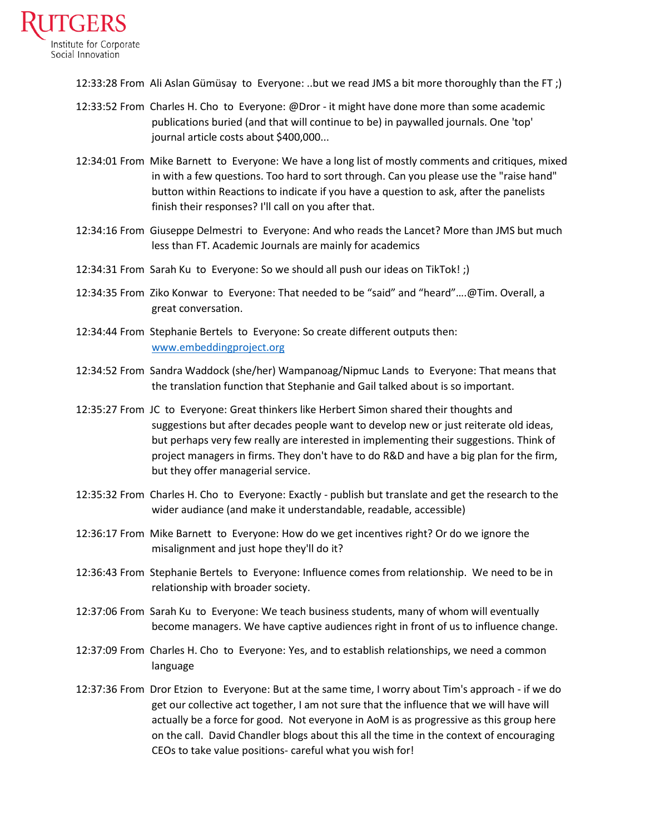

12:33:28 From Ali Aslan Gümüsay to Everyone: ..but we read JMS a bit more thoroughly than the FT ;)

- 12:33:52 From Charles H. Cho to Everyone: @Dror it might have done more than some academic publications buried (and that will continue to be) in paywalled journals. One 'top' journal article costs about \$400,000...
- 12:34:01 From Mike Barnett to Everyone: We have a long list of mostly comments and critiques, mixed in with a few questions. Too hard to sort through. Can you please use the "raise hand" button within Reactions to indicate if you have a question to ask, after the panelists finish their responses? I'll call on you after that.
- 12:34:16 From Giuseppe Delmestri to Everyone: And who reads the Lancet? More than JMS but much less than FT. Academic Journals are mainly for academics
- 12:34:31 From Sarah Ku to Everyone: So we should all push our ideas on TikTok! ;)
- 12:34:35 From Ziko Konwar to Everyone: That needed to be "said" and "heard"….@Tim. Overall, a great conversation.
- 12:34:44 From Stephanie Bertels to Everyone: So create different outputs then: [www.embeddingproject.org](http://www.embeddingproject.org/)
- 12:34:52 From Sandra Waddock (she/her) Wampanoag/Nipmuc Lands to Everyone: That means that the translation function that Stephanie and Gail talked about is so important.
- 12:35:27 From JC to Everyone: Great thinkers like Herbert Simon shared their thoughts and suggestions but after decades people want to develop new or just reiterate old ideas, but perhaps very few really are interested in implementing their suggestions. Think of project managers in firms. They don't have to do R&D and have a big plan for the firm, but they offer managerial service.
- 12:35:32 From Charles H. Cho to Everyone: Exactly publish but translate and get the research to the wider audiance (and make it understandable, readable, accessible)
- 12:36:17 From Mike Barnett to Everyone: How do we get incentives right? Or do we ignore the misalignment and just hope they'll do it?
- 12:36:43 From Stephanie Bertels to Everyone: Influence comes from relationship. We need to be in relationship with broader society.
- 12:37:06 From Sarah Ku to Everyone: We teach business students, many of whom will eventually become managers. We have captive audiences right in front of us to influence change.
- 12:37:09 From Charles H. Cho to Everyone: Yes, and to establish relationships, we need a common language
- 12:37:36 From Dror Etzion to Everyone: But at the same time, I worry about Tim's approach if we do get our collective act together, I am not sure that the influence that we will have will actually be a force for good. Not everyone in AoM is as progressive as this group here on the call. David Chandler blogs about this all the time in the context of encouraging CEOs to take value positions- careful what you wish for!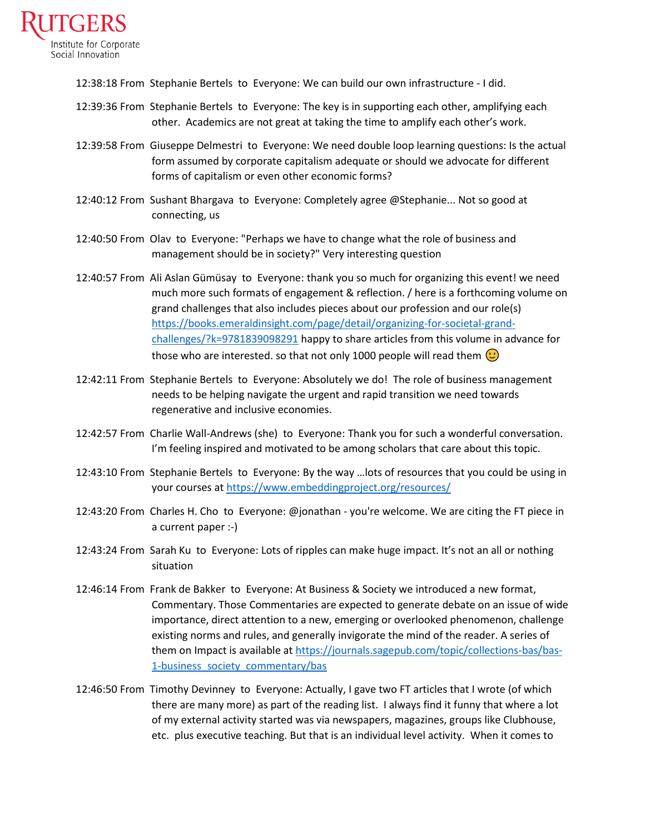

12:38:18 From Stephanie Bertels to Everyone: We can build our own infrastructure - I did.

- 12:39:36 From Stephanie Bertels to Everyone: The key is in supporting each other, amplifying each other. Academics are not great at taking the time to amplify each other's work.
- 12:39:58 From Giuseppe Delmestri to Everyone: We need double loop learning questions: Is the actual form assumed by corporate capitalism adequate or should we advocate for different forms of capitalism or even other economic forms?
- 12:40:12 From Sushant Bhargava to Everyone: Completely agree @Stephanie... Not so good at connecting, us
- 12:40:50 From Olav to Everyone: "Perhaps we have to change what the role of business and management should be in society?" Very interesting question
- 12:40:57 From Ali Aslan Gümüsay to Everyone: thank you so much for organizing this event! we need much more such formats of engagement & reflection. / here is a forthcoming volume on grand challenges that also includes pieces about our profession and our role(s) [https://books.emeraldinsight.com/page/detail/organizing-for-societal-grand](https://books.emeraldinsight.com/page/detail/organizing-for-societal-grand-challenges/?k=9781839098291)[challenges/?k=9781839098291](https://books.emeraldinsight.com/page/detail/organizing-for-societal-grand-challenges/?k=9781839098291) happy to share articles from this volume in advance for those who are interested. so that not only 1000 people will read them  $\circlearrowright$
- 12:42:11 From Stephanie Bertels to Everyone: Absolutely we do! The role of business management needs to be helping navigate the urgent and rapid transition we need towards regenerative and inclusive economies.
- 12:42:57 From Charlie Wall-Andrews (she) to Everyone: Thank you for such a wonderful conversation. I'm feeling inspired and motivated to be among scholars that care about this topic.
- 12:43:10 From Stephanie Bertels to Everyone: By the way …lots of resources that you could be using in your courses at<https://www.embeddingproject.org/resources/>
- 12:43:20 From Charles H. Cho to Everyone: @jonathan you're welcome. We are citing the FT piece in a current paper :-)
- 12:43:24 From Sarah Ku to Everyone: Lots of ripples can make huge impact. It's not an all or nothing situation
- 12:46:14 From Frank de Bakker to Everyone: At Business & Society we introduced a new format, Commentary. Those Commentaries are expected to generate debate on an issue of wide importance, direct attention to a new, emerging or overlooked phenomenon, challenge existing norms and rules, and generally invigorate the mind of the reader. A series of them on Impact is available a[t https://journals.sagepub.com/topic/collections-bas/bas-](https://journals.sagepub.com/topic/collections-bas/bas-1-business_society_commentary/bas)[1-business\\_society\\_commentary/bas](https://journals.sagepub.com/topic/collections-bas/bas-1-business_society_commentary/bas)
- 12:46:50 From Timothy Devinney to Everyone: Actually, I gave two FT articles that I wrote (of which there are many more) as part of the reading list. I always find it funny that where a lot of my external activity started was via newspapers, magazines, groups like Clubhouse, etc. plus executive teaching. But that is an individual level activity. When it comes to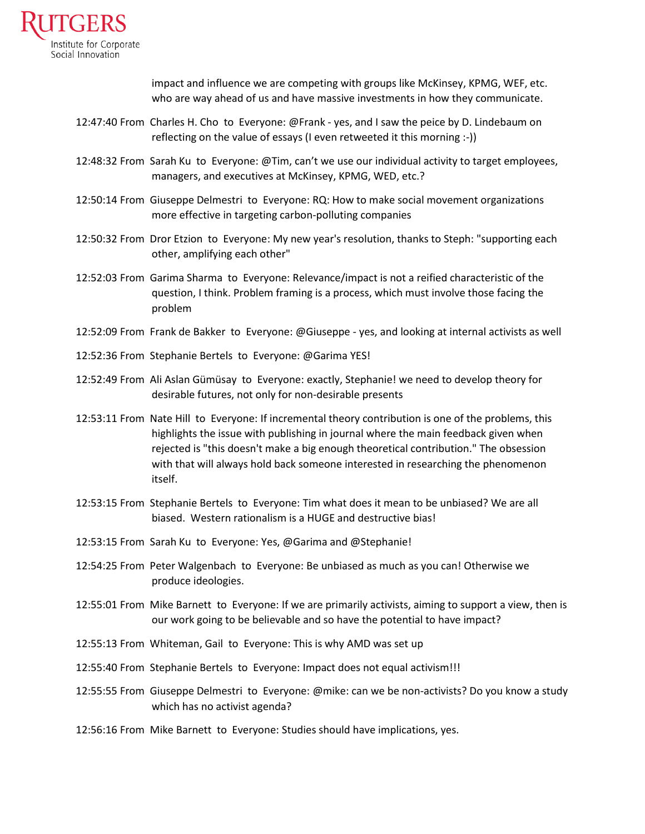

impact and influence we are competing with groups like McKinsey, KPMG, WEF, etc. who are way ahead of us and have massive investments in how they communicate.

- 12:47:40 From Charles H. Cho to Everyone: @Frank yes, and I saw the peice by D. Lindebaum on reflecting on the value of essays (I even retweeted it this morning :-))
- 12:48:32 From Sarah Ku to Everyone: @Tim, can't we use our individual activity to target employees, managers, and executives at McKinsey, KPMG, WED, etc.?
- 12:50:14 From Giuseppe Delmestri to Everyone: RQ: How to make social movement organizations more effective in targeting carbon-polluting companies
- 12:50:32 From Dror Etzion to Everyone: My new year's resolution, thanks to Steph: "supporting each other, amplifying each other"
- 12:52:03 From Garima Sharma to Everyone: Relevance/impact is not a reified characteristic of the question, I think. Problem framing is a process, which must involve those facing the problem
- 12:52:09 From Frank de Bakker to Everyone: @Giuseppe yes, and looking at internal activists as well
- 12:52:36 From Stephanie Bertels to Everyone: @Garima YES!
- 12:52:49 From Ali Aslan Gümüsay to Everyone: exactly, Stephanie! we need to develop theory for desirable futures, not only for non-desirable presents
- 12:53:11 From Nate Hill to Everyone: If incremental theory contribution is one of the problems, this highlights the issue with publishing in journal where the main feedback given when rejected is "this doesn't make a big enough theoretical contribution." The obsession with that will always hold back someone interested in researching the phenomenon itself.
- 12:53:15 From Stephanie Bertels to Everyone: Tim what does it mean to be unbiased? We are all biased. Western rationalism is a HUGE and destructive bias!
- 12:53:15 From Sarah Ku to Everyone: Yes, @Garima and @Stephanie!
- 12:54:25 From Peter Walgenbach to Everyone: Be unbiased as much as you can! Otherwise we produce ideologies.
- 12:55:01 From Mike Barnett to Everyone: If we are primarily activists, aiming to support a view, then is our work going to be believable and so have the potential to have impact?
- 12:55:13 From Whiteman, Gail to Everyone: This is why AMD was set up
- 12:55:40 From Stephanie Bertels to Everyone: Impact does not equal activism!!!
- 12:55:55 From Giuseppe Delmestri to Everyone: @mike: can we be non-activists? Do you know a study which has no activist agenda?
- 12:56:16 From Mike Barnett to Everyone: Studies should have implications, yes.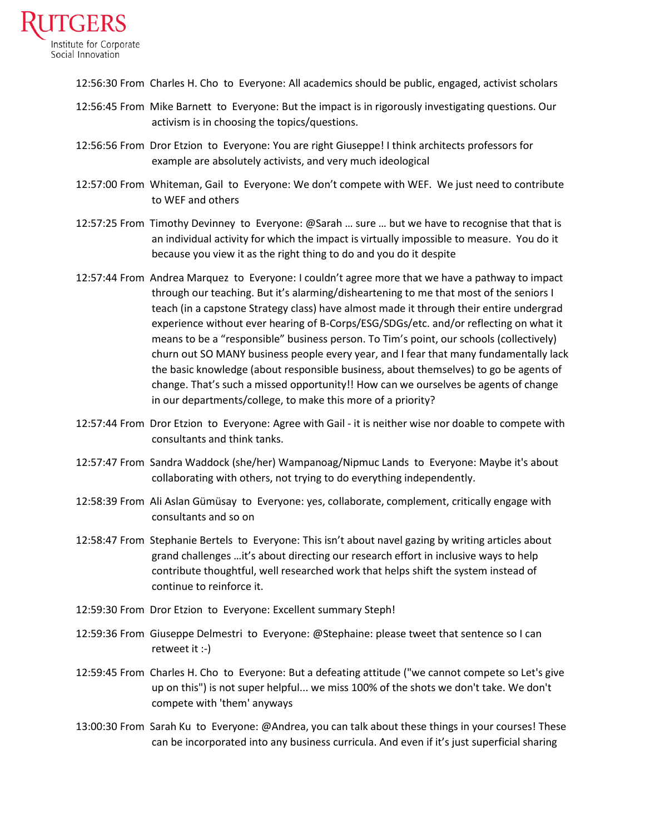

12:56:30 From Charles H. Cho to Everyone: All academics should be public, engaged, activist scholars

- 12:56:45 From Mike Barnett to Everyone: But the impact is in rigorously investigating questions. Our activism is in choosing the topics/questions.
- 12:56:56 From Dror Etzion to Everyone: You are right Giuseppe! I think architects professors for example are absolutely activists, and very much ideological
- 12:57:00 From Whiteman, Gail to Everyone: We don't compete with WEF. We just need to contribute to WEF and others
- 12:57:25 From Timothy Devinney to Everyone: @Sarah … sure … but we have to recognise that that is an individual activity for which the impact is virtually impossible to measure. You do it because you view it as the right thing to do and you do it despite
- 12:57:44 From Andrea Marquez to Everyone: I couldn't agree more that we have a pathway to impact through our teaching. But it's alarming/disheartening to me that most of the seniors I teach (in a capstone Strategy class) have almost made it through their entire undergrad experience without ever hearing of B-Corps/ESG/SDGs/etc. and/or reflecting on what it means to be a "responsible" business person. To Tim's point, our schools (collectively) churn out SO MANY business people every year, and I fear that many fundamentally lack the basic knowledge (about responsible business, about themselves) to go be agents of change. That's such a missed opportunity!! How can we ourselves be agents of change in our departments/college, to make this more of a priority?
- 12:57:44 From Dror Etzion to Everyone: Agree with Gail it is neither wise nor doable to compete with consultants and think tanks.
- 12:57:47 From Sandra Waddock (she/her) Wampanoag/Nipmuc Lands to Everyone: Maybe it's about collaborating with others, not trying to do everything independently.
- 12:58:39 From Ali Aslan Gümüsay to Everyone: yes, collaborate, complement, critically engage with consultants and so on
- 12:58:47 From Stephanie Bertels to Everyone: This isn't about navel gazing by writing articles about grand challenges …it's about directing our research effort in inclusive ways to help contribute thoughtful, well researched work that helps shift the system instead of continue to reinforce it.
- 12:59:30 From Dror Etzion to Everyone: Excellent summary Steph!
- 12:59:36 From Giuseppe Delmestri to Everyone: @Stephaine: please tweet that sentence so I can retweet it :-)
- 12:59:45 From Charles H. Cho to Everyone: But a defeating attitude ("we cannot compete so Let's give up on this") is not super helpful... we miss 100% of the shots we don't take. We don't compete with 'them' anyways
- 13:00:30 From Sarah Ku to Everyone: @Andrea, you can talk about these things in your courses! These can be incorporated into any business curricula. And even if it's just superficial sharing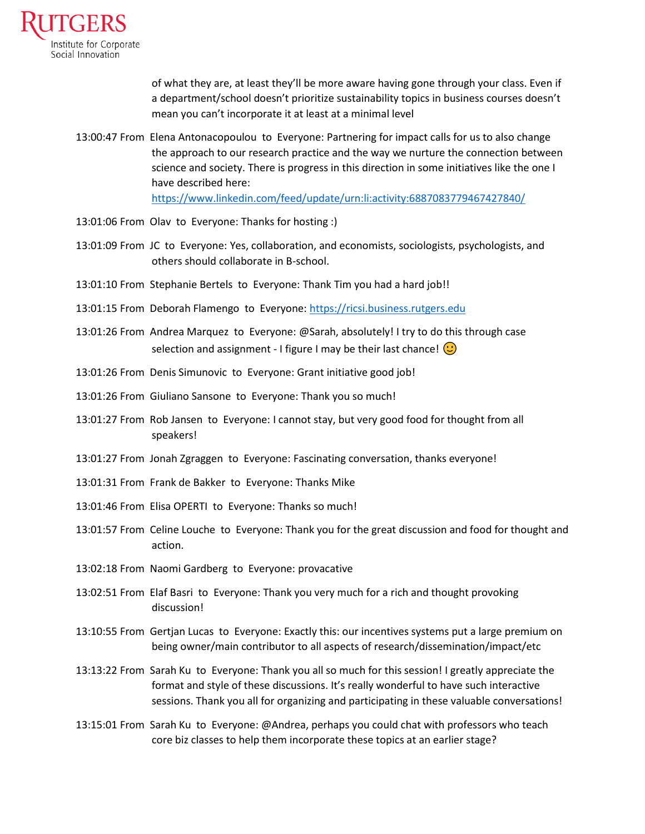

of what they are, at least they'll be more aware having gone through your class. Even if a department/school doesn't prioritize sustainability topics in business courses doesn't mean you can't incorporate it at least at a minimal level

13:00:47 From Elena Antonacopoulou to Everyone: Partnering for impact calls for us to also change the approach to our research practice and the way we nurture the connection between science and society. There is progress in this direction in some initiatives like the one I have described here:

<https://www.linkedin.com/feed/update/urn:li:activity:6887083779467427840/>

- 13:01:06 From Olav to Everyone: Thanks for hosting :)
- 13:01:09 From JC to Everyone: Yes, collaboration, and economists, sociologists, psychologists, and others should collaborate in B-school.
- 13:01:10 From Stephanie Bertels to Everyone: Thank Tim you had a hard job!!
- 13:01:15 From Deborah Flamengo to Everyone: [https://ricsi.business.rutgers.edu](https://ricsi.business.rutgers.edu/)
- 13:01:26 From Andrea Marquez to Everyone: @Sarah, absolutely! I try to do this through case selection and assignment - I figure I may be their last chance!  $\odot$
- 13:01:26 From Denis Simunovic to Everyone: Grant initiative good job!
- 13:01:26 From Giuliano Sansone to Everyone: Thank you so much!
- 13:01:27 From Rob Jansen to Everyone: I cannot stay, but very good food for thought from all speakers!
- 13:01:27 From Jonah Zgraggen to Everyone: Fascinating conversation, thanks everyone!
- 13:01:31 From Frank de Bakker to Everyone: Thanks Mike
- 13:01:46 From Elisa OPERTI to Everyone: Thanks so much!
- 13:01:57 From Celine Louche to Everyone: Thank you for the great discussion and food for thought and action.
- 13:02:18 From Naomi Gardberg to Everyone: provacative
- 13:02:51 From Elaf Basri to Everyone: Thank you very much for a rich and thought provoking discussion!
- 13:10:55 From Gertjan Lucas to Everyone: Exactly this: our incentives systems put a large premium on being owner/main contributor to all aspects of research/dissemination/impact/etc
- 13:13:22 From Sarah Ku to Everyone: Thank you all so much for this session! I greatly appreciate the format and style of these discussions. It's really wonderful to have such interactive sessions. Thank you all for organizing and participating in these valuable conversations!
- 13:15:01 From Sarah Ku to Everyone: @Andrea, perhaps you could chat with professors who teach core biz classes to help them incorporate these topics at an earlier stage?